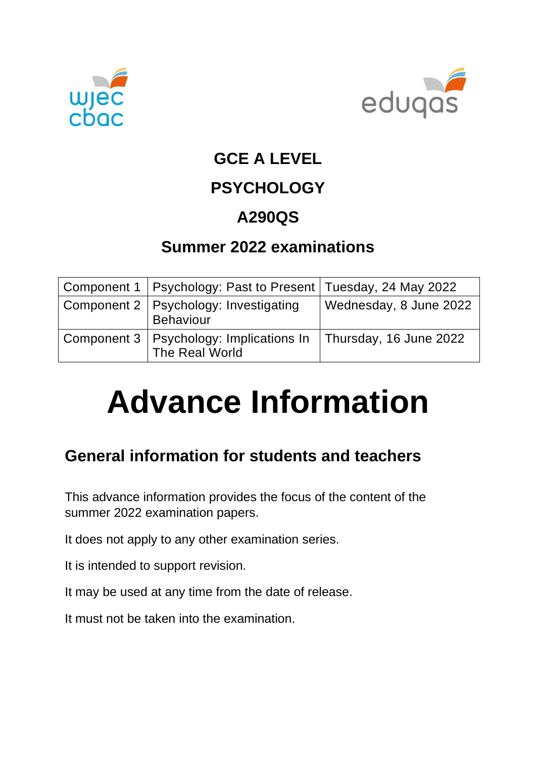



## **GCE A LEVEL**

# **PSYCHOLOGY**

# **A290QS**

## **Summer 2022 examinations**

| Component 1   Psychology: Past to Present   Tuesday, 24 May 2022                     |                        |
|--------------------------------------------------------------------------------------|------------------------|
| Component 2   Psychology: Investigating<br><b>Behaviour</b>                          | Wednesday, 8 June 2022 |
| Component 3   Psychology: Implications In   Thursday, 16 June 2022<br>The Real World |                        |

# **Advance Information**

# **General information for students and teachers**

This advance information provides the focus of the content of the summer 2022 examination papers.

It does not apply to any other examination series.

It is intended to support revision.

It may be used at any time from the date of release.

It must not be taken into the examination.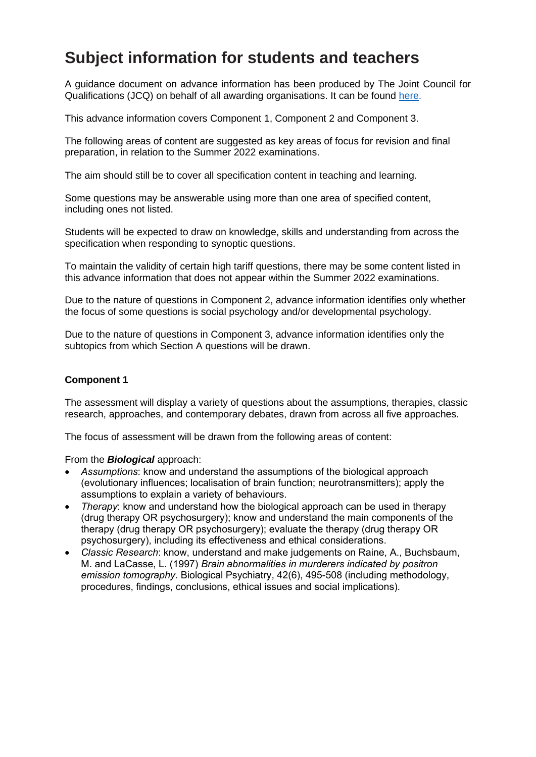## **Subject information for students and teachers**

A guidance document on advance information has been produced by The Joint Council for Qualifications (JCQ) on behalf of all awarding organisations. It can be found [here.](https://www.jcq.org.uk/wp-content/uploads/2021/10/Advance-Information-for-General-Qualifications-2021-22.pdf)

This advance information covers Component 1, Component 2 and Component 3.

The following areas of content are suggested as key areas of focus for revision and final preparation, in relation to the Summer 2022 examinations.

The aim should still be to cover all specification content in teaching and learning.

Some questions may be answerable using more than one area of specified content, including ones not listed.

Students will be expected to draw on knowledge, skills and understanding from across the specification when responding to synoptic questions.

To maintain the validity of certain high tariff questions, there may be some content listed in this advance information that does not appear within the Summer 2022 examinations.

Due to the nature of questions in Component 2, advance information identifies only whether the focus of some questions is social psychology and/or developmental psychology.

Due to the nature of questions in Component 3, advance information identifies only the subtopics from which Section A questions will be drawn.

#### **Component 1**

The assessment will display a variety of questions about the assumptions, therapies, classic research, approaches, and contemporary debates, drawn from across all five approaches.

The focus of assessment will be drawn from the following areas of content:

From the *Biological* approach:

- *Assumptions*: know and understand the assumptions of the biological approach (evolutionary influences; localisation of brain function; neurotransmitters); apply the assumptions to explain a variety of behaviours.
- *Therapy*: know and understand how the biological approach can be used in therapy (drug therapy OR psychosurgery); know and understand the main components of the therapy (drug therapy OR psychosurgery); evaluate the therapy (drug therapy OR psychosurgery), including its effectiveness and ethical considerations.
- *Classic Research*: know, understand and make judgements on Raine, A., Buchsbaum, M. and LaCasse, L. (1997) *Brain abnormalities in murderers indicated by positron emission tomography.* Biological Psychiatry, 42(6), 495-508 (including methodology, procedures, findings, conclusions, ethical issues and social implications).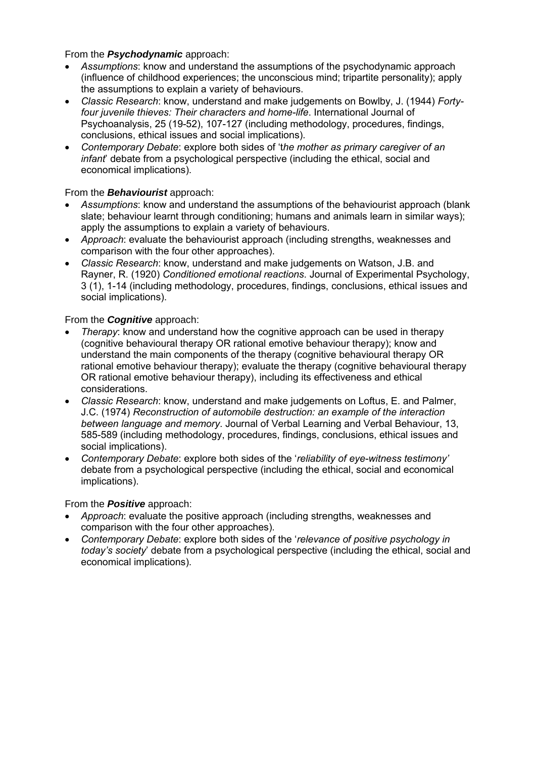#### From the *Psychodynamic* approach:

- *Assumptions*: know and understand the assumptions of the psychodynamic approach (influence of childhood experiences; the unconscious mind; tripartite personality); apply the assumptions to explain a variety of behaviours.
- *Classic Research*: know, understand and make judgements on Bowlby, J. (1944) *Fortyfour juvenile thieves: Their characters and home-life*. International Journal of Psychoanalysis, 25 (19-52), 107-127 (including methodology, procedures, findings, conclusions, ethical issues and social implications)*.*
- *Contemporary Debate*: explore both sides of 't*he mother as primary caregiver of an infant*' debate from a psychological perspective (including the ethical, social and economical implications).

#### From the *Behaviourist* approach:

- *Assumptions*: know and understand the assumptions of the behaviourist approach (blank slate; behaviour learnt through conditioning; humans and animals learn in similar ways); apply the assumptions to explain a variety of behaviours.
- *Approach*: evaluate the behaviourist approach (including strengths, weaknesses and comparison with the four other approaches).
- *Classic Research*: know, understand and make judgements on Watson, J.B. and Rayner, R. (1920) *Conditioned emotional reactions*. Journal of Experimental Psychology, 3 (1), 1-14 (including methodology, procedures, findings, conclusions, ethical issues and social implications).

#### From the *Cognitive* approach:

- *Therapy*: know and understand how the cognitive approach can be used in therapy (cognitive behavioural therapy OR rational emotive behaviour therapy); know and understand the main components of the therapy (cognitive behavioural therapy OR rational emotive behaviour therapy); evaluate the therapy (cognitive behavioural therapy OR rational emotive behaviour therapy), including its effectiveness and ethical considerations.
- *Classic Research*: know, understand and make judgements on Loftus, E. and Palmer, J.C. (1974) *Reconstruction of automobile destruction: an example of the interaction between language and memory*. Journal of Verbal Learning and Verbal Behaviour, 13, 585-589 (including methodology, procedures, findings, conclusions, ethical issues and social implications).
- *Contemporary Debate*: explore both sides of the '*reliability of eye-witness testimony'* debate from a psychological perspective (including the ethical, social and economical implications).

#### From the *Positive* approach:

- *Approach*: evaluate the positive approach (including strengths, weaknesses and comparison with the four other approaches).
- *Contemporary Debate*: explore both sides of the '*relevance of positive psychology in today's society*' debate from a psychological perspective (including the ethical, social and economical implications).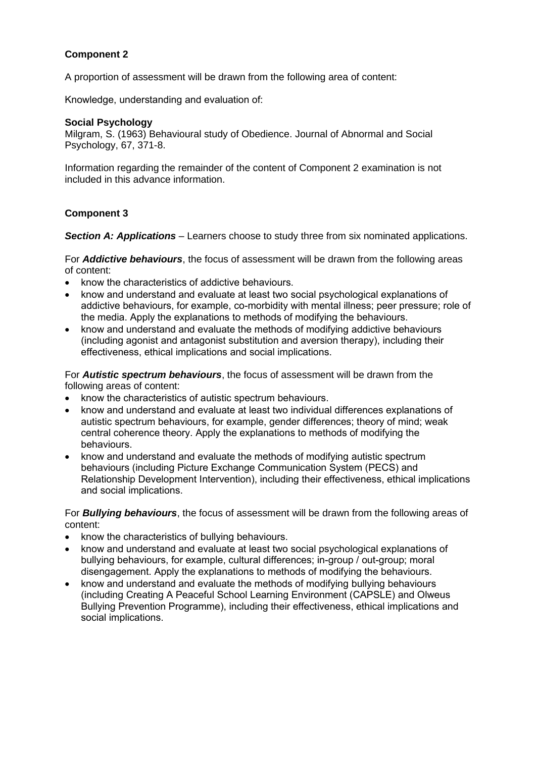#### **Component 2**

A proportion of assessment will be drawn from the following area of content:

Knowledge, understanding and evaluation of: 

#### **Social Psychology**

Milgram, S. (1963) Behavioural study of Obedience. Journal of Abnormal and Social Psychology, 67, 371-8.

Information regarding the remainder of the content of Component 2 examination is not included in this advance information.

#### **Component 3**

*Section A: Applications* – Learners choose to study three from six nominated applications.

For *Addictive behaviours*, the focus of assessment will be drawn from the following areas of content:

- know the characteristics of addictive behaviours.
- know and understand and evaluate at least two social psychological explanations of addictive behaviours, for example, co-morbidity with mental illness; peer pressure; role of the media. Apply the explanations to methods of modifying the behaviours.
- know and understand and evaluate the methods of modifying addictive behaviours (including agonist and antagonist substitution and aversion therapy), including their effectiveness, ethical implications and social implications.

For *Autistic spectrum behaviours*, the focus of assessment will be drawn from the following areas of content:

- know the characteristics of autistic spectrum behaviours.
- know and understand and evaluate at least two individual differences explanations of autistic spectrum behaviours, for example, gender differences; theory of mind; weak central coherence theory. Apply the explanations to methods of modifying the behaviours.
- know and understand and evaluate the methods of modifying autistic spectrum behaviours (including Picture Exchange Communication System (PECS) and Relationship Development Intervention), including their effectiveness, ethical implications and social implications.

For *Bullying behaviours*, the focus of assessment will be drawn from the following areas of content:

- know the characteristics of bullying behaviours.
- know and understand and evaluate at least two social psychological explanations of bullying behaviours, for example, cultural differences; in-group / out-group; moral disengagement. Apply the explanations to methods of modifying the behaviours.
- know and understand and evaluate the methods of modifying bullying behaviours (including Creating A Peaceful School Learning Environment (CAPSLE) and Olweus Bullying Prevention Programme), including their effectiveness, ethical implications and social implications.